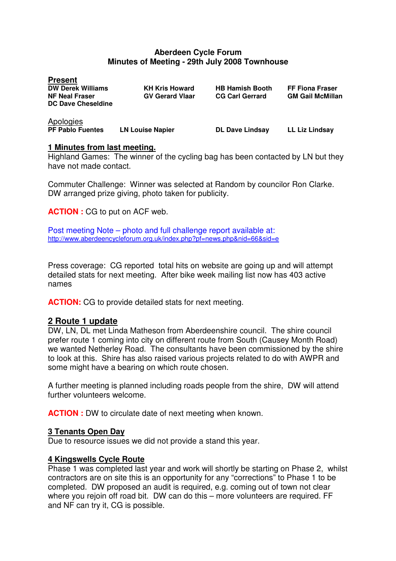### **Aberdeen Cycle Forum Minutes of Meeting - 29th July 2008 Townhouse**

| <b>Present</b><br><b>DW Derek Williams</b><br><b>NF Neal Fraser</b><br><b>DC Dave Cheseldine</b> | <b>KH Kris Howard</b><br><b>GV Gerard Vlaar</b> | <b>HB Hamish Booth</b><br><b>CG Carl Gerrard</b> | <b>FF Fiona Fraser</b><br><b>GM Gail McMillan</b> |
|--------------------------------------------------------------------------------------------------|-------------------------------------------------|--------------------------------------------------|---------------------------------------------------|
| Apologies<br><b>PF Pablo Fuentes</b>                                                             | <b>LN Louise Napier</b>                         | <b>DL Dave Lindsay</b>                           | <b>LL Liz Lindsay</b>                             |

#### **1 Minutes from last meeting.**

Highland Games: The winner of the cycling bag has been contacted by LN but they have not made contact.

Commuter Challenge: Winner was selected at Random by councilor Ron Clarke. DW arranged prize giving, photo taken for publicity.

**ACTION :** CG to put on ACF web.

Post meeting Note – photo and full challenge report available at: http://www.aberdeencycleforum.org.uk/index.php?pf=news.php&nid=66&sid=e

Press coverage: CG reported total hits on website are going up and will attempt detailed stats for next meeting. After bike week mailing list now has 403 active names

**ACTION:** CG to provide detailed stats for next meeting.

## **2 Route 1 update**

DW, LN, DL met Linda Matheson from Aberdeenshire council. The shire council prefer route 1 coming into city on different route from South (Causey Month Road) we wanted Netherley Road. The consultants have been commissioned by the shire to look at this. Shire has also raised various projects related to do with AWPR and some might have a bearing on which route chosen.

A further meeting is planned including roads people from the shire, DW will attend further volunteers welcome.

**ACTION :** DW to circulate date of next meeting when known.

#### **3 Tenants Open Day**

Due to resource issues we did not provide a stand this year.

## **4 Kingswells Cycle Route**

Phase 1 was completed last year and work will shortly be starting on Phase 2, whilst contractors are on site this is an opportunity for any "corrections" to Phase 1 to be completed. DW proposed an audit is required, e.g. coming out of town not clear where you rejoin off road bit. DW can do this – more volunteers are required. FF and NF can try it, CG is possible.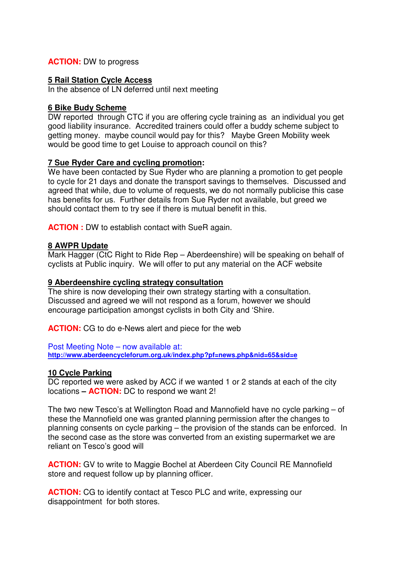## **ACTION:** DW to progress

## **5 Rail Station Cycle Access**

In the absence of LN deferred until next meeting

## **6 Bike Budy Scheme**

DW reported through CTC if you are offering cycle training as an individual you get good liability insurance. Accredited trainers could offer a buddy scheme subject to getting money. maybe council would pay for this? Maybe Green Mobility week would be good time to get Louise to approach council on this?

## **7 Sue Ryder Care and cycling promotion:**

We have been contacted by Sue Ryder who are planning a promotion to get people to cycle for 21 days and donate the transport savings to themselves. Discussed and agreed that while, due to volume of requests, we do not normally publicise this case has benefits for us. Further details from Sue Ryder not available, but greed we should contact them to try see if there is mutual benefit in this.

**ACTION :** DW to establish contact with SueR again.

## **8 AWPR Update**

Mark Hagger (CtC Right to Ride Rep – Aberdeenshire) will be speaking on behalf of cyclists at Public inquiry. We will offer to put any material on the ACF website

## **9 Aberdeenshire cycling strategy consultation**

The shire is now developing their own strategy starting with a consultation. Discussed and agreed we will not respond as a forum, however we should encourage participation amongst cyclists in both City and 'Shire.

**ACTION:** CG to do e-News alert and piece for the web

#### Post Meeting Note – now available at:

**http://www.aberdeencycleforum.org.uk/index.php?pf=news.php&nid=65&sid=e**

## **10 Cycle Parking**

DC reported we were asked by ACC if we wanted 1 or 2 stands at each of the city locations **– ACTION:** DC to respond we want 2!

The two new Tesco's at Wellington Road and Mannofield have no cycle parking – of these the Mannofield one was granted planning permission after the changes to planning consents on cycle parking – the provision of the stands can be enforced. In the second case as the store was converted from an existing supermarket we are reliant on Tesco's good will

**ACTION:** GV to write to Maggie Bochel at Aberdeen City Council RE Mannofield store and request follow up by planning officer.

**ACTION:** CG to identify contact at Tesco PLC and write, expressing our disappointment for both stores.